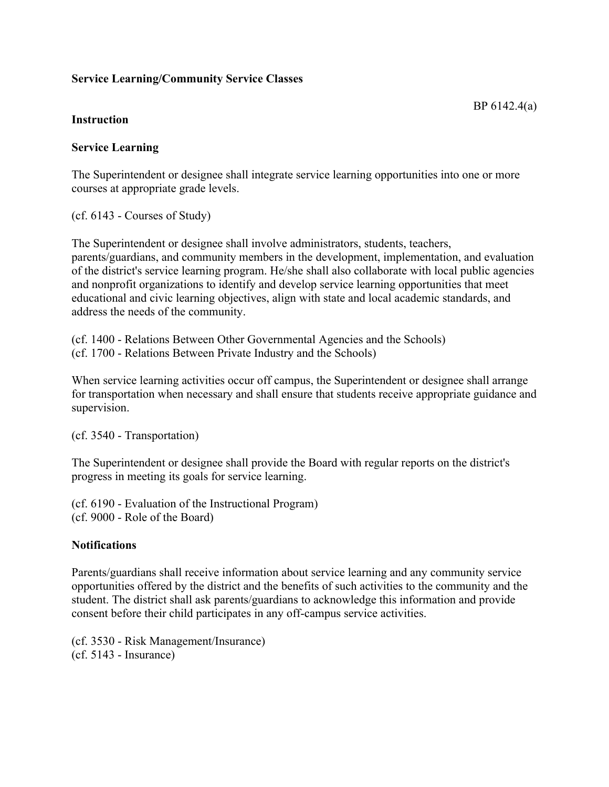## **Service Learning/Community Service Classes**

## **Instruction**

## **Service Learning**

The Superintendent or designee shall integrate service learning opportunities into one or more courses at appropriate grade levels.

(cf. 6143 - Courses of Study)

The Superintendent or designee shall involve administrators, students, teachers, parents/guardians, and community members in the development, implementation, and evaluation of the district's service learning program. He/she shall also collaborate with local public agencies and nonprofit organizations to identify and develop service learning opportunities that meet educational and civic learning objectives, align with state and local academic standards, and address the needs of the community.

(cf. 1400 - Relations Between Other Governmental Agencies and the Schools) (cf. 1700 - Relations Between Private Industry and the Schools)

When service learning activities occur off campus, the Superintendent or designee shall arrange for transportation when necessary and shall ensure that students receive appropriate guidance and supervision.

(cf. 3540 - Transportation)

The Superintendent or designee shall provide the Board with regular reports on the district's progress in meeting its goals for service learning.

(cf. 6190 - Evaluation of the Instructional Program) (cf. 9000 - Role of the Board)

## **Notifications**

Parents/guardians shall receive information about service learning and any community service opportunities offered by the district and the benefits of such activities to the community and the student. The district shall ask parents/guardians to acknowledge this information and provide consent before their child participates in any off-campus service activities.

(cf. 3530 - Risk Management/Insurance) (cf. 5143 - Insurance)